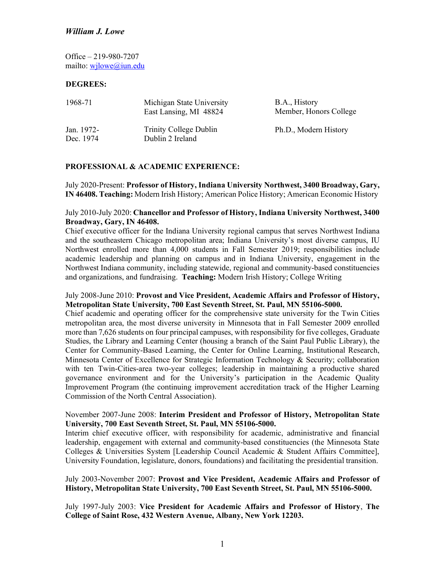Office – 219-980-7207 mailto: [wjlowe@iun.edu](mailto:wjlowe@iun.edu) 

#### **DEGREES:**

| 1968-71                 | Michigan State University<br>East Lansing, MI 48824 | B.A., History<br>Member, Honors College |
|-------------------------|-----------------------------------------------------|-----------------------------------------|
| Jan. 1972-<br>Dec. 1974 | Trinity College Dublin<br>Dublin 2 Ireland          | Ph.D., Modern History                   |

### **PROFESSIONAL & ACADEMIC EXPERIENCE:**

 July 2020-Present: **Professor of History, Indiana University Northwest, 3400 Broadway, Gary, IN 46408. Teaching:** Modern Irish History; American Police History; American Economic History

## July 2010-July 2020: **Chancellor and Professor of History, Indiana University Northwest, 3400 Broadway, Gary, IN 46408.**

 academic leadership and planning on campus and in Indiana University, engagement in the Northwest Indiana community, including statewide, regional and community-based constituencies and organizations, and fundraising. **Teaching:** Modern Irish History; College Writing Chief executive officer for the Indiana University regional campus that serves Northwest Indiana and the southeastern Chicago metropolitan area; Indiana University's most diverse campus, IU Northwest enrolled more than 4,000 students in Fall Semester 2019; responsibilities include

### July 2008-June 2010: **Provost and Vice President, Academic Affairs and Professor of History, Metropolitan State University, 700 East Seventh Street, St. Paul, MN 55106-5000.**

 Chief academic and operating officer for the comprehensive state university for the Twin Cities metropolitan area, the most diverse university in Minnesota that in Fall Semester 2009 enrolled more than 7,626 students on four principal campuses, with responsibility for five colleges, Graduate with ten Twin-Cities-area two-year colleges; leadership in maintaining a productive shared governance environment and for the University's participation in the Academic Quality Commission of the North Central Association). Studies, the Library and Learning Center (housing a branch of the Saint Paul Public Library), the Center for Community-Based Learning, the Center for Online Learning, Institutional Research, Minnesota Center of Excellence for Strategic Information Technology & Security; collaboration Improvement Program (the continuing improvement accreditation track of the Higher Learning

### November 2007-June 2008: **Interim President and Professor of History, Metropolitan State University, 700 East Seventh Street, St. Paul, MN 55106-5000.**

 Interim chief executive officer, with responsibility for academic, administrative and financial leadership, engagement with external and community-based constituencies (the Minnesota State University Foundation, legislature, donors, foundations) and facilitating the presidential transition. Colleges & Universities System [Leadership Council Academic & Student Affairs Committee],

## **History, Metropolitan State University, 700 East Seventh Street, St. Paul, MN 55106-5000.**  July 2003-November 2007: **Provost and Vice President, Academic Affairs and Professor of**

 **College of Saint Rose, 432 Western Avenue, Albany, New York 12203.**  July 1997-July 2003: **Vice President for Academic Affairs and Professor of History**, **The**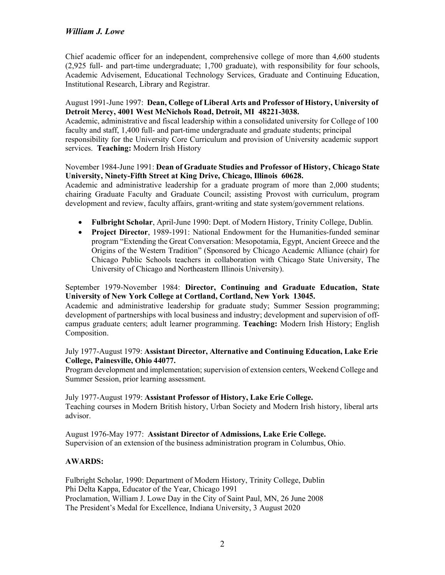Institutional Research, Library and Registrar. Chief academic officer for an independent, comprehensive college of more than 4,600 students (2,925 full- and part-time undergraduate; 1,700 graduate), with responsibility for four schools, Academic Advisement, Educational Technology Services, Graduate and Continuing Education,

## August 1991-June 1997: **Dean, College of Liberal Arts and Professor of History, University of Detroit Mercy, 4001 West McNichols Road, Detroit, MI 48221-3038.**

 Academic, administrative and fiscal leadership within a consolidated university for College of 100 responsibility for the University Core Curriculum and provision of University academic support faculty and staff, 1,400 full- and part-time undergraduate and graduate students; principal services. **Teaching:** Modern Irish History

### November 1984-June 1991: **Dean of Graduate Studies and Professor of History, Chicago State University, Ninety-Fifth Street at King Drive, Chicago, Illinois 60628.**

 development and review, faculty affairs, grant-writing and state system/government relations. Academic and administrative leadership for a graduate program of more than 2,000 students; chairing Graduate Faculty and Graduate Council; assisting Provost with curriculum, program

- **Fulbright Scholar**, April-June 1990: Dept. of Modern History, Trinity College, Dublin.
- program "Extending the Great Conversation: Mesopotamia, Egypt, Ancient Greece and the Chicago Public Schools teachers in collaboration with Chicago State University, The University of Chicago and Northeastern Illinois University). • **Project Director**, 1989-1991: National Endowment for the Humanities-funded seminar Origins of the Western Tradition" (Sponsored by Chicago Academic Alliance (chair) for

## September 1979-November 1984: **Director, Continuing and Graduate Education, State University of New York College at Cortland, Cortland, New York 13045.**

 Academic and administrative leadership for graduate study; Summer Session programming; development of partnerships with local business and industry; development and supervision of offcampus graduate centers; adult learner programming. **Teaching:** Modern Irish History; English Composition.

## July 1977-August 1979: **Assistant Director, Alternative and Continuing Education, Lake Erie College, Painesville, Ohio 44077.**

 Program development and implementation; supervision of extension centers, Weekend College and Summer Session, prior learning assessment.

 July 1977-August 1979: **Assistant Professor of History, Lake Erie College.**  Teaching courses in Modern British history, Urban Society and Modern Irish history, liberal arts advisor.

 August 1976-May 1977: **Assistant Director of Admissions, Lake Erie College.**  Supervision of an extension of the business administration program in Columbus, Ohio.

## **AWARDS:**

 Phi Delta Kappa, Educator of the Year, Chicago 1991 Proclamation, William J. Lowe Day in the City of Saint Paul, MN, 26 June 2008 The President's Medal for Excellence, Indiana University, 3 August 2020 Fulbright Scholar, 1990: Department of Modern History, Trinity College, Dublin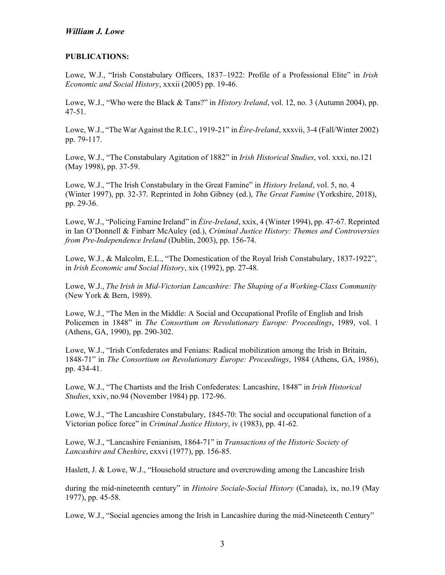#### **PUBLICATIONS:**

 Lowe, W.J., "Irish Constabulary Officers, 1837–1922: Profile of a Professional Elite" in *Irish Economic and Social History*, xxxii (2005) pp. 19-46.

 Lowe, W.J., "Who were the Black & Tans?" in *History Ireland*, vol. 12, no. 3 (Autumn 2004), pp. 47-51.

 Lowe, W.J., "The War Against the R.I.C., 1919-21" in *Éire-Ireland*, xxxvii, 3-4 (Fall/Winter 2002) pp. 79-117.

 Lowe, W.J., "The Constabulary Agitation of 1882" in *Irish Historical Studies*, vol. xxxi, no.121 (May 1998), pp. 37-59.

 Lowe, W.J., "The Irish Constabulary in the Great Famine" in *History Ireland*, vol. 5, no. 4 (Winter 1997), pp. 32-37. Reprinted in John Gibney (ed.), *The Great Famine* (Yorkshire, 2018), pp. 29-36.

 Lowe, W.J., "Policing Famine Ireland" in *Éire-Ireland*, xxix, 4 (Winter 1994), pp. 47-67. Reprinted  *from Pre-Independence Ireland* (Dublin, 2003), pp. 156-74. in Ian O'Donnell & Finbarr McAuley (ed.), *Criminal Justice History: Themes and Controversies* 

 Lowe, W.J., & Malcolm, E.L., "The Domestication of the Royal Irish Constabulary, 1837-1922", in *Irish Economic and Social History*, xix (1992), pp. 27-48.

 Lowe, W.J., *The Irish in Mid-Victorian Lancashire: The Shaping of a Working-Class Community*  (New York & Bern, 1989).

 Lowe, W.J., "The Men in the Middle: A Social and Occupational Profile of English and Irish Policemen in 1848" in *The Consortium on Revolutionary Europe: Proceedings*, 1989, vol. 1 (Athens, GA, 1990), pp. 290-302.

 Lowe, W.J., "Irish Confederates and Fenians: Radical mobilization among the Irish in Britain, 1848-71" in *The Consortium on Revolutionary Europe: Proceedings*, 1984 (Athens, GA, 1986), pp. 434-41.

 Lowe, W.J., "The Chartists and the Irish Confederates: Lancashire, 1848" in *Irish Historical Studies*, xxiv, no.94 (November 1984) pp. 172-96.

 Lowe, W.J., "The Lancashire Constabulary, 1845-70: The social and occupational function of a  Victorian police force" in *Criminal Justice History*, iv (1983), pp. 41-62.

 Lowe, W.J., "Lancashire Fenianism, 1864-71" in *Transactions of the Historic Society of Lancashire and Cheshire*, cxxvi (1977), pp. 156-85.

Haslett, J. & Lowe, W.J., "Household structure and overcrowding among the Lancashire Irish

 during the mid-nineteenth century" in *Histoire Sociale-Social History* (Canada), ix, no.19 (May 1977), pp. 45-58.

Lowe, W.J., "Social agencies among the Irish in Lancashire during the mid-Nineteenth Century"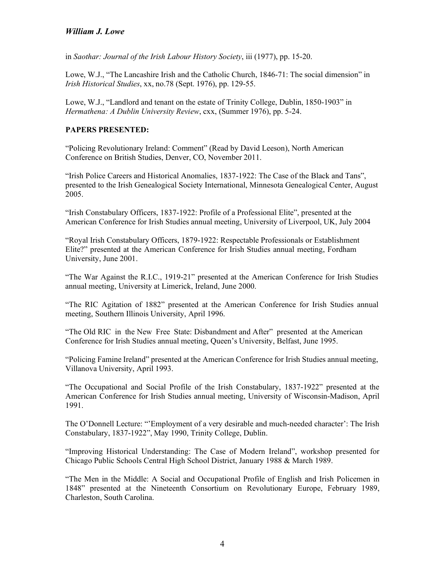in *Saothar: Journal of the Irish Labour History Society*, iii (1977), pp. 15-20.

 Lowe, W.J., "The Lancashire Irish and the Catholic Church, 1846-71: The social dimension" in *Irish Historical Studies*, xx, no.78 (Sept. 1976), pp. 129-55.

 Lowe, W.J., "Landlord and tenant on the estate of Trinity College, Dublin, 1850-1903" in  *Hermathena: A Dublin University Review*, cxx, (Summer 1976), pp. 5-24.

#### **PAPERS PRESENTED:**

 "Policing Revolutionary Ireland: Comment" (Read by David Leeson), North American Conference on British Studies, Denver, CO, November 2011.

 "Irish Police Careers and Historical Anomalies, 1837-1922: The Case of the Black and Tans", presented to the Irish Genealogical Society International, Minnesota Genealogical Center, August 2005.

 "Irish Constabulary Officers, 1837-1922: Profile of a Professional Elite", presented at the American Conference for Irish Studies annual meeting, University of Liverpool, UK, July 2004

 Elite?" presented at the American Conference for Irish Studies annual meeting, Fordham "Royal Irish Constabulary Officers, 1879-1922: Respectable Professionals or Establishment University, June 2001.

 "The War Against the R.I.C., 1919-21" presented at the American Conference for Irish Studies annual meeting, University at Limerick, Ireland, June 2000.

 "The RIC Agitation of 1882" presented at the American Conference for Irish Studies annual meeting, Southern Illinois University, April 1996.

 "The Old RIC in the New Free State: Disbandment and After" presented at the American Conference for Irish Studies annual meeting, Queen's University, Belfast, June 1995.

 "Policing Famine Ireland" presented at the American Conference for Irish Studies annual meeting, Villanova University, April 1993.

"The Occupational and Social Profile of the Irish Constabulary, 1837-1922" presented at the American Conference for Irish Studies annual meeting, University of Wisconsin-Madison, April 1991.

 The O'Donnell Lecture: "'Employment of a very desirable and much-needed character': The Irish Constabulary, 1837-1922", May 1990, Trinity College, Dublin.

 Chicago Public Schools Central High School District, January 1988 & March 1989. "Improving Historical Understanding: The Case of Modern Ireland", workshop presented for

 1848" presented at the Nineteenth Consortium on Revolutionary Europe, February 1989, "The Men in the Middle: A Social and Occupational Profile of English and Irish Policemen in Charleston, South Carolina.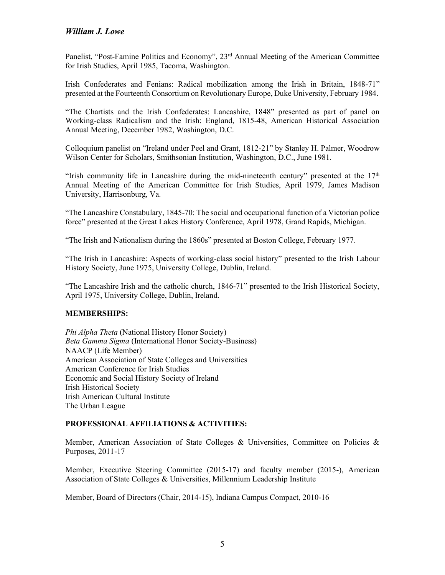Panelist, "Post-Famine Politics and Economy", 23<sup>rd</sup> Annual Meeting of the American Committee for Irish Studies, April 1985, Tacoma, Washington.

 Irish Confederates and Fenians: Radical mobilization among the Irish in Britain, 1848-71" presented at the Fourteenth Consortium on Revolutionary Europe, Duke University, February 1984.

 "The Chartists and the Irish Confederates: Lancashire, 1848" presented as part of panel on Working-class Radicalism and the Irish: England, 1815-48, American Historical Association Annual Meeting, December 1982, Washington, D.C.

 Wilson Center for Scholars, Smithsonian Institution, Washington, D.C., June 1981. Colloquium panelist on "Ireland under Peel and Grant, 1812-21" by Stanley H. Palmer, Woodrow

"Irish community life in Lancashire during the mid-nineteenth century" presented at the  $17<sup>th</sup>$  Annual Meeting of the American Committee for Irish Studies, April 1979, James Madison University, Harrisonburg, Va.

 "The Lancashire Constabulary, 1845-70: The social and occupational function of a Victorian police force" presented at the Great Lakes History Conference, April 1978, Grand Rapids, Michigan.

"The Irish and Nationalism during the 1860s" presented at Boston College, February 1977.

 History Society, June 1975, University College, Dublin, Ireland. "The Irish in Lancashire: Aspects of working-class social history" presented to the Irish Labour

 April 1975, University College, Dublin, Ireland. "The Lancashire Irish and the catholic church, 1846-71" presented to the Irish Historical Society,

#### **MEMBERSHIPS:**

 *Phi Alpha Theta* (National History Honor Society)  *Beta Gamma Sigma* (International Honor Society-Business) NAACP (Life Member) American Association of State Colleges and Universities American Conference for Irish Studies Irish Historical Society The Urban League Economic and Social History Society of Ireland Irish American Cultural Institute

### **PROFESSIONAL AFFILIATIONS & ACTIVITIES:**

 Purposes, 2011-17 Member, American Association of State Colleges & Universities, Committee on Policies &

 Member, Executive Steering Committee (2015-17) and faculty member (2015-), American Association of State Colleges & Universities, Millennium Leadership Institute

Member, Board of Directors (Chair, 2014-15), Indiana Campus Compact, 2010-16